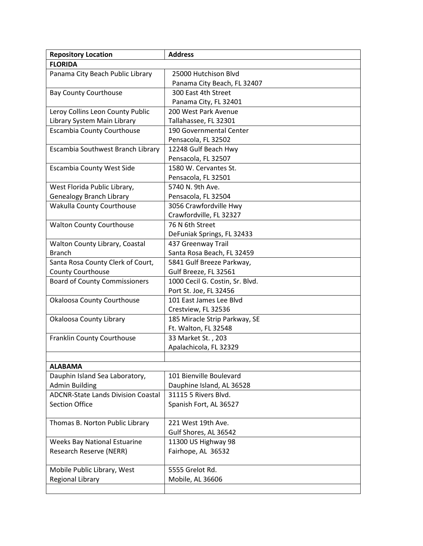| <b>Repository Location</b>                              | <b>Address</b>                                    |
|---------------------------------------------------------|---------------------------------------------------|
| <b>FLORIDA</b>                                          |                                                   |
| Panama City Beach Public Library                        | 25000 Hutchison Blvd                              |
|                                                         | Panama City Beach, FL 32407                       |
| <b>Bay County Courthouse</b>                            | 300 East 4th Street                               |
|                                                         | Panama City, FL 32401                             |
| Leroy Collins Leon County Public                        | 200 West Park Avenue                              |
| Library System Main Library                             | Tallahassee, FL 32301                             |
| <b>Escambia County Courthouse</b>                       | 190 Governmental Center                           |
|                                                         | Pensacola, FL 32502                               |
| Escambia Southwest Branch Library                       | 12248 Gulf Beach Hwy                              |
|                                                         | Pensacola, FL 32507                               |
| <b>Escambia County West Side</b>                        | 1580 W. Cervantes St.                             |
|                                                         | Pensacola, FL 32501                               |
| West Florida Public Library,                            | 5740 N. 9th Ave.                                  |
| <b>Genealogy Branch Library</b>                         | Pensacola, FL 32504                               |
| Wakulla County Courthouse                               | 3056 Crawfordville Hwy                            |
|                                                         | Crawfordville, FL 32327                           |
| <b>Walton County Courthouse</b>                         | 76 N 6th Street                                   |
|                                                         | DeFuniak Springs, FL 32433                        |
| Walton County Library, Coastal                          | 437 Greenway Trail                                |
| <b>Branch</b>                                           | Santa Rosa Beach, FL 32459                        |
| Santa Rosa County Clerk of Court,                       | 5841 Gulf Breeze Parkway,                         |
| <b>County Courthouse</b>                                | Gulf Breeze, FL 32561                             |
| <b>Board of County Commissioners</b>                    | 1000 Cecil G. Costin, Sr. Blvd.                   |
|                                                         | Port St. Joe, FL 32456                            |
| <b>Okaloosa County Courthouse</b>                       | 101 East James Lee Blvd                           |
|                                                         | Crestview, FL 32536                               |
| Okaloosa County Library                                 | 185 Miracle Strip Parkway, SE                     |
|                                                         | Ft. Walton, FL 32548                              |
| Franklin County Courthouse                              | 33 Market St., 203                                |
|                                                         | Apalachicola, FL 32329                            |
|                                                         |                                                   |
| <b>ALABAMA</b>                                          | 101 Bienville Boulevard                           |
| Dauphin Island Sea Laboratory,<br><b>Admin Building</b> |                                                   |
| <b>ADCNR-State Lands Division Coastal</b>               | Dauphine Island, AL 36528<br>31115 5 Rivers Blvd. |
| <b>Section Office</b>                                   | Spanish Fort, AL 36527                            |
|                                                         |                                                   |
| Thomas B. Norton Public Library                         | 221 West 19th Ave.                                |
|                                                         | Gulf Shores, AL 36542                             |
| <b>Weeks Bay National Estuarine</b>                     | 11300 US Highway 98                               |
| Research Reserve (NERR)                                 | Fairhope, AL 36532                                |
|                                                         |                                                   |
| Mobile Public Library, West                             | 5555 Grelot Rd.                                   |
| Regional Library                                        | Mobile, AL 36606                                  |
|                                                         |                                                   |